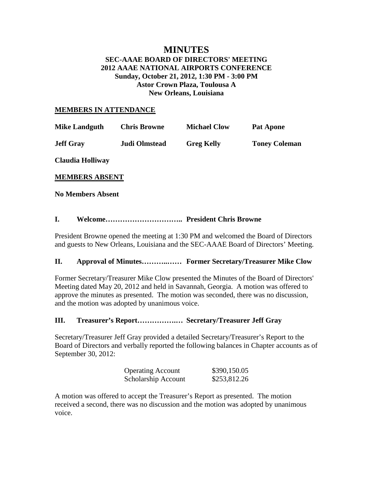## **MINUTES SEC-AAAE BOARD OF DIRECTORS' MEETING 2012 AAAE NATIONAL AIRPORTS CONFERENCE Sunday, October 21, 2012, 1:30 PM - 3:00 PM Astor Crown Plaza, Toulousa A New Orleans, Louisiana**

#### **MEMBERS IN ATTENDANCE**

| <b>Mike Landguth</b> | <b>Chris Browne</b>  | <b>Michael Clow</b> | <b>Pat Apone</b>     |
|----------------------|----------------------|---------------------|----------------------|
| <b>Jeff Gray</b>     | <b>Judi Olmstead</b> | <b>Greg Kelly</b>   | <b>Toney Coleman</b> |
| Claudia Holliway     |                      |                     |                      |

**MEMBERS ABSENT**

**No Members Absent**

# **I. Welcome………………………….. President Chris Browne**

President Browne opened the meeting at 1:30 PM and welcomed the Board of Directors and guests to New Orleans, Louisiana and the SEC-AAAE Board of Directors' Meeting.

### **II. Approval of Minutes………..…… Former Secretary/Treasurer Mike Clow**

Former Secretary/Treasurer Mike Clow presented the Minutes of the Board of Directors' Meeting dated May 20, 2012 and held in Savannah, Georgia. A motion was offered to approve the minutes as presented. The motion was seconded, there was no discussion, and the motion was adopted by unanimous voice.

### **III. Treasurer's Report…………….… Secretary/Treasurer Jeff Gray**

Secretary/Treasurer Jeff Gray provided a detailed Secretary/Treasurer's Report to the Board of Directors and verbally reported the following balances in Chapter accounts as of September 30, 2012:

| <b>Operating Account</b> | \$390,150.05 |
|--------------------------|--------------|
| Scholarship Account      | \$253,812.26 |

A motion was offered to accept the Treasurer's Report as presented. The motion received a second, there was no discussion and the motion was adopted by unanimous voice.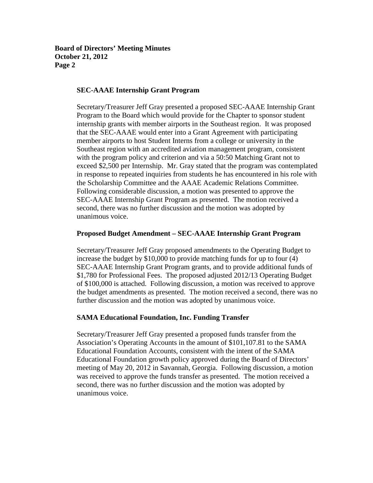#### **SEC-AAAE Internship Grant Program**

Secretary/Treasurer Jeff Gray presented a proposed SEC-AAAE Internship Grant Program to the Board which would provide for the Chapter to sponsor student internship grants with member airports in the Southeast region. It was proposed that the SEC-AAAE would enter into a Grant Agreement with participating member airports to host Student Interns from a college or university in the Southeast region with an accredited aviation management program, consistent with the program policy and criterion and via a 50:50 Matching Grant not to exceed \$2,500 per Internship. Mr. Gray stated that the program was contemplated in response to repeated inquiries from students he has encountered in his role with the Scholarship Committee and the AAAE Academic Relations Committee. Following considerable discussion, a motion was presented to approve the SEC-AAAE Internship Grant Program as presented. The motion received a second, there was no further discussion and the motion was adopted by unanimous voice.

#### **Proposed Budget Amendment – SEC-AAAE Internship Grant Program**

Secretary/Treasurer Jeff Gray proposed amendments to the Operating Budget to increase the budget by \$10,000 to provide matching funds for up to four (4) SEC-AAAE Internship Grant Program grants, and to provide additional funds of \$1,780 for Professional Fees. The proposed adjusted 2012/13 Operating Budget of \$100,000 is attached. Following discussion, a motion was received to approve the budget amendments as presented. The motion received a second, there was no further discussion and the motion was adopted by unanimous voice.

#### **SAMA Educational Foundation, Inc. Funding Transfer**

Secretary/Treasurer Jeff Gray presented a proposed funds transfer from the Association's Operating Accounts in the amount of \$101,107.81 to the SAMA Educational Foundation Accounts, consistent with the intent of the SAMA Educational Foundation growth policy approved during the Board of Directors' meeting of May 20, 2012 in Savannah, Georgia. Following discussion, a motion was received to approve the funds transfer as presented. The motion received a second, there was no further discussion and the motion was adopted by unanimous voice.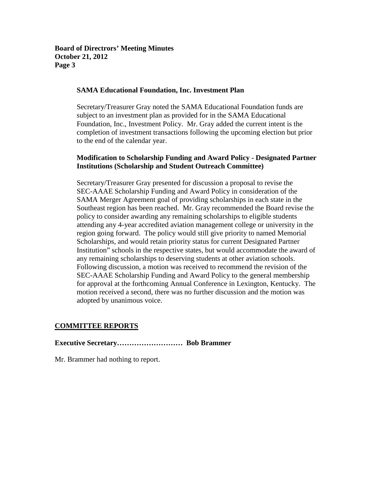#### **SAMA Educational Foundation, Inc. Investment Plan**

Secretary/Treasurer Gray noted the SAMA Educational Foundation funds are subject to an investment plan as provided for in the SAMA Educational Foundation, Inc., Investment Policy. Mr. Gray added the current intent is the completion of investment transactions following the upcoming election but prior to the end of the calendar year.

### **Modification to Scholarship Funding and Award Policy - Designated Partner Institutions (Scholarship and Student Outreach Committee)**

Secretary/Treasurer Gray presented for discussion a proposal to revise the SEC-AAAE Scholarship Funding and Award Policy in consideration of the SAMA Merger Agreement goal of providing scholarships in each state in the Southeast region has been reached. Mr. Gray recommended the Board revise the policy to consider awarding any remaining scholarships to eligible students attending any 4-year accredited aviation management college or university in the region going forward. The policy would still give priority to named Memorial Scholarships, and would retain priority status for current Designated Partner Institution" schools in the respective states, but would accommodate the award of any remaining scholarships to deserving students at other aviation schools. Following discussion, a motion was received to recommend the revision of the SEC-AAAE Scholarship Funding and Award Policy to the general membership for approval at the forthcoming Annual Conference in Lexington, Kentucky. The motion received a second, there was no further discussion and the motion was adopted by unanimous voice.

### **COMMITTEE REPORTS**

#### **Executive Secretary……………………… Bob Brammer**

Mr. Brammer had nothing to report.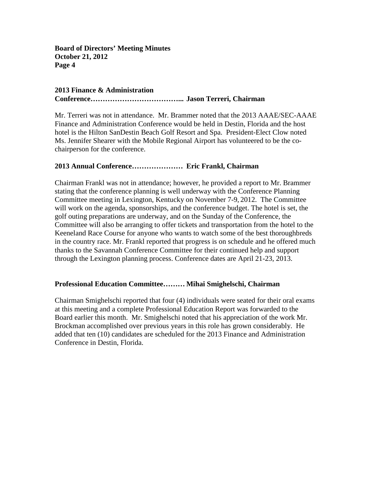# **2013 Finance & Administration**

**Conference………………………………... Jason Terreri, Chairman**

Mr. Terreri was not in attendance. Mr. Brammer noted that the 2013 AAAE/SEC-AAAE Finance and Administration Conference would be held in Destin, Florida and the host hotel is the Hilton SanDestin Beach Golf Resort and Spa. President-Elect Clow noted Ms. Jennifer Shearer with the Mobile Regional Airport has volunteered to be the cochairperson for the conference.

# **2013 Annual Conference………………… Eric Frankl, Chairman**

Chairman Frankl was not in attendance; however, he provided a report to Mr. Brammer stating that the conference planning is well underway with the Conference Planning Committee meeting in Lexington, Kentucky on November 7-9, 2012. The Committee will work on the agenda, sponsorships, and the conference budget. The hotel is set, the golf outing preparations are underway, and on the Sunday of the Conference, the Committee will also be arranging to offer tickets and transportation from the hotel to the Keeneland Race Course for anyone who wants to watch some of the best thoroughbreds in the country race. Mr. Frankl reported that progress is on schedule and he offered much thanks to the Savannah Conference Committee for their continued help and support through the Lexington planning process. Conference dates are April 21-23, 2013.

### **Professional Education Committee……… Mihai Smighelschi, Chairman**

Chairman Smighelschi reported that four (4) individuals were seated for their oral exams at this meeting and a complete Professional Education Report was forwarded to the Board earlier this month. Mr. Smighelschi noted that his appreciation of the work Mr. Brockman accomplished over previous years in this role has grown considerably. He added that ten (10) candidates are scheduled for the 2013 Finance and Administration Conference in Destin, Florida.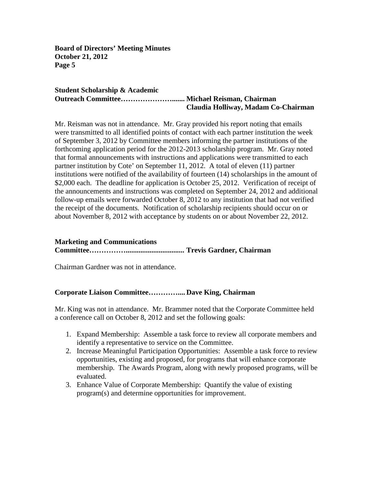#### **Student Scholarship & Academic Outreach Committee…………………....... Michael Reisman, Chairman Claudia Holliway, Madam Co-Chairman**

Mr. Reisman was not in attendance. Mr. Gray provided his report noting that emails were transmitted to all identified points of contact with each partner institution the week of September 3, 2012 by Committee members informing the partner institutions of the forthcoming application period for the 2012-2013 scholarship program. Mr. Gray noted that formal announcements with instructions and applications were transmitted to each partner institution by Cote' on September 11, 2012. A total of eleven (11) partner institutions were notified of the availability of fourteen (14) scholarships in the amount of \$2,000 each. The deadline for application is October 25, 2012. Verification of receipt of the announcements and instructions was completed on September 24, 2012 and additional follow-up emails were forwarded October 8, 2012 to any institution that had not verified the receipt of the documents. Notification of scholarship recipients should occur on or about November 8, 2012 with acceptance by students on or about November 22, 2012.

# **Marketing and Communications Committee……………................................ Trevis Gardner, Chairman**

Chairman Gardner was not in attendance.

### **Corporate Liaison Committee………….... Dave King, Chairman**

Mr. King was not in attendance. Mr. Brammer noted that the Corporate Committee held a conference call on October 8, 2012 and set the following goals:

- 1. Expand Membership: Assemble a task force to review all corporate members and identify a representative to service on the Committee.
- 2. Increase Meaningful Participation Opportunities: Assemble a task force to review opportunities, existing and proposed, for programs that will enhance corporate membership. The Awards Program, along with newly proposed programs, will be evaluated.
- 3. Enhance Value of Corporate Membership: Quantify the value of existing program(s) and determine opportunities for improvement.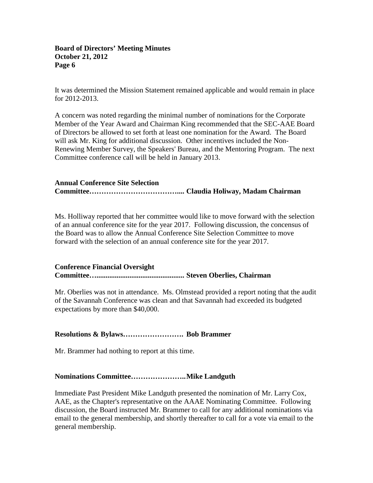It was determined the Mission Statement remained applicable and would remain in place for 2012-2013.

A concern was noted regarding the minimal number of nominations for the Corporate Member of the Year Award and Chairman King recommended that the SEC-AAE Board of Directors be allowed to set forth at least one nomination for the Award. The Board will ask Mr. King for additional discussion. Other incentives included the Non-Renewing Member Survey, the Speakers' Bureau, and the Mentoring Program. The next Committee conference call will be held in January 2013.

# **Annual Conference Site Selection Committee……………………………….... Claudia Holiway, Madam Chairman**

Ms. Holliway reported that her committee would like to move forward with the selection of an annual conference site for the year 2017. Following discussion, the concensus of the Board was to allow the Annual Conference Site Selection Committee to move forward with the selection of an annual conference site for the year 2017.

# **Conference Financial Oversight Committee…................................................ Steven Oberlies, Chairman**

Mr. Oberlies was not in attendance. Ms. Olmstead provided a report noting that the audit of the Savannah Conference was clean and that Savannah had exceeded its budgeted expectations by more than \$40,000.

# **Resolutions & Bylaws……………………. Bob Brammer**

Mr. Brammer had nothing to report at this time.

# **Nominations Committee…………………..Mike Landguth**

Immediate Past President Mike Landguth presented the nomination of Mr. Larry Cox, AAE, as the Chapter's representative on the AAAE Nominating Committee. Following discussion, the Board instructed Mr. Brammer to call for any additional nominations via email to the general membership, and shortly thereafter to call for a vote via email to the general membership.